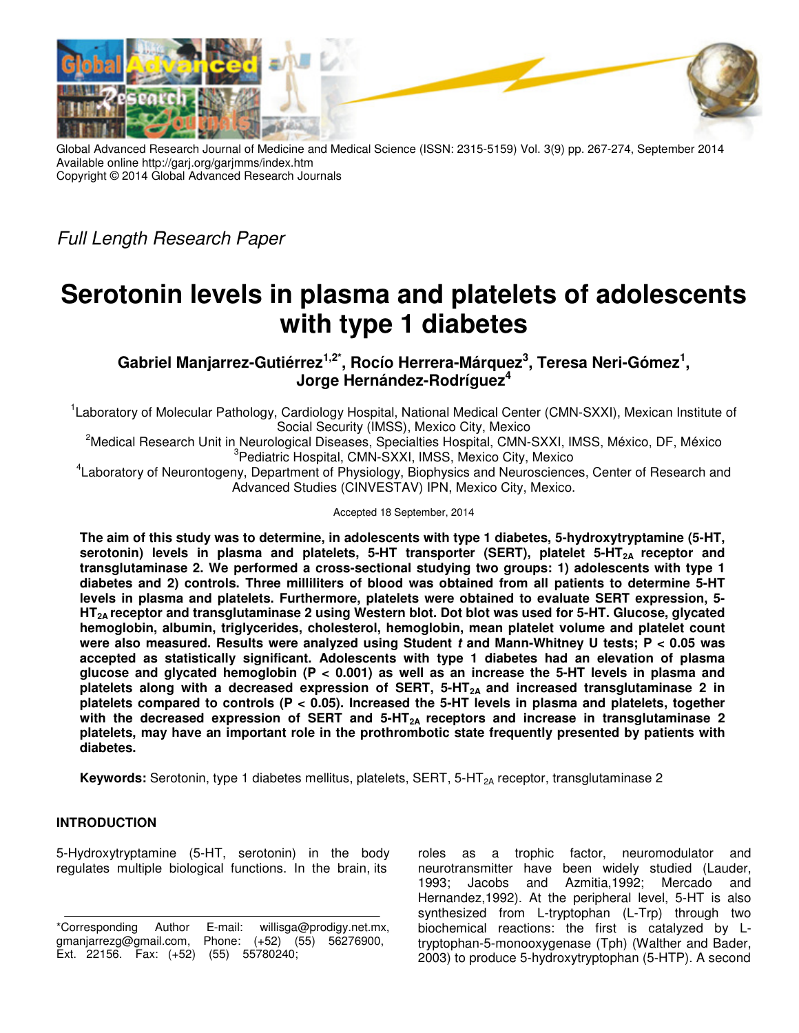

Global Advanced Research Journal of Medicine and Medical Science (ISSN: 2315-5159) Vol. 3(9) pp. 267-274, September 2014 Available online http://garj.org/garjmms/index.htm Copyright © 2014 Global Advanced Research Journals

Full Length Research Paper

# **Serotonin levels in plasma and platelets of adolescents with type 1 diabetes**

**Gabriel Manjarrez-Gutiérrez1,2\*, Rocío Herrera-Márquez<sup>3</sup> , Teresa Neri-Gómez<sup>1</sup> , Jorge Hernández-Rodríguez<sup>4</sup>**

<sup>1</sup> Laboratory of Molecular Pathology, Cardiology Hospital, National Medical Center (CMN-SXXI), Mexican Institute of Social Security (IMSS), Mexico City, Mexico

<sup>2</sup>Medical Research Unit in Neurological Diseases, Specialties Hospital, CMN-SXXI, IMSS, México, DF, México 3 Pediatric Hospital, CMN-SXXI, IMSS, Mexico City, Mexico

4 Laboratory of Neurontogeny, Department of Physiology, Biophysics and Neurosciences, Center of Research and Advanced Studies (CINVESTAV) IPN, Mexico City, Mexico.

Accepted 18 September, 2014

**The aim of this study was to determine, in adolescents with type 1 diabetes, 5-hydroxytryptamine (5-HT, serotonin) levels in plasma and platelets, 5-HT transporter (SERT), platelet 5-HT2A receptor and transglutaminase 2. We performed a cross-sectional studying two groups: 1) adolescents with type 1 diabetes and 2) controls. Three milliliters of blood was obtained from all patients to determine 5-HT levels in plasma and platelets. Furthermore, platelets were obtained to evaluate SERT expression, 5- HT2A receptor and transglutaminase 2 using Western blot. Dot blot was used for 5-HT. Glucose, glycated hemoglobin, albumin, triglycerides, cholesterol, hemoglobin, mean platelet volume and platelet count were also measured. Results were analyzed using Student t and Mann-Whitney U tests; P < 0.05 was accepted as statistically significant. Adolescents with type 1 diabetes had an elevation of plasma glucose and glycated hemoglobin (P < 0.001) as well as an increase the 5-HT levels in plasma and platelets along with a decreased expression of SERT, 5-HT2A and increased transglutaminase 2 in platelets compared to controls (P < 0.05). Increased the 5-HT levels in plasma and platelets, together** with the decreased expression of SERT and 5-HT<sub>2A</sub> receptors and increase in transglutaminase 2 **platelets, may have an important role in the prothrombotic state frequently presented by patients with diabetes.** 

**Keywords:** Serotonin, type 1 diabetes mellitus, platelets, SERT, 5-HT<sub>2A</sub> receptor, transglutaminase 2

# **INTRODUCTION**

5-Hydroxytryptamine (5-HT, serotonin) in the body regulates multiple biological functions. In the brain, its

\*Corresponding Author E-mail: willisga@prodigy.net.mx, gmanjarrezg@gmail.com, Phone: (+52) (55) 56276900, Ext. 22156. Fax: (+52) (55) 55780240;

roles as a trophic factor, neuromodulator and neurotransmitter have been widely studied (Lauder,<br>1993: Jacobs and Azmitia,1992; Mercado and and Azmitia,1992; Mercado and Hernandez,1992). At the peripheral level, 5-HT is also synthesized from L-tryptophan (L-Trp) through two biochemical reactions: the first is catalyzed by Ltryptophan-5-monooxygenase (Tph) (Walther and Bader, 2003) to produce 5-hydroxytryptophan (5-HTP). A second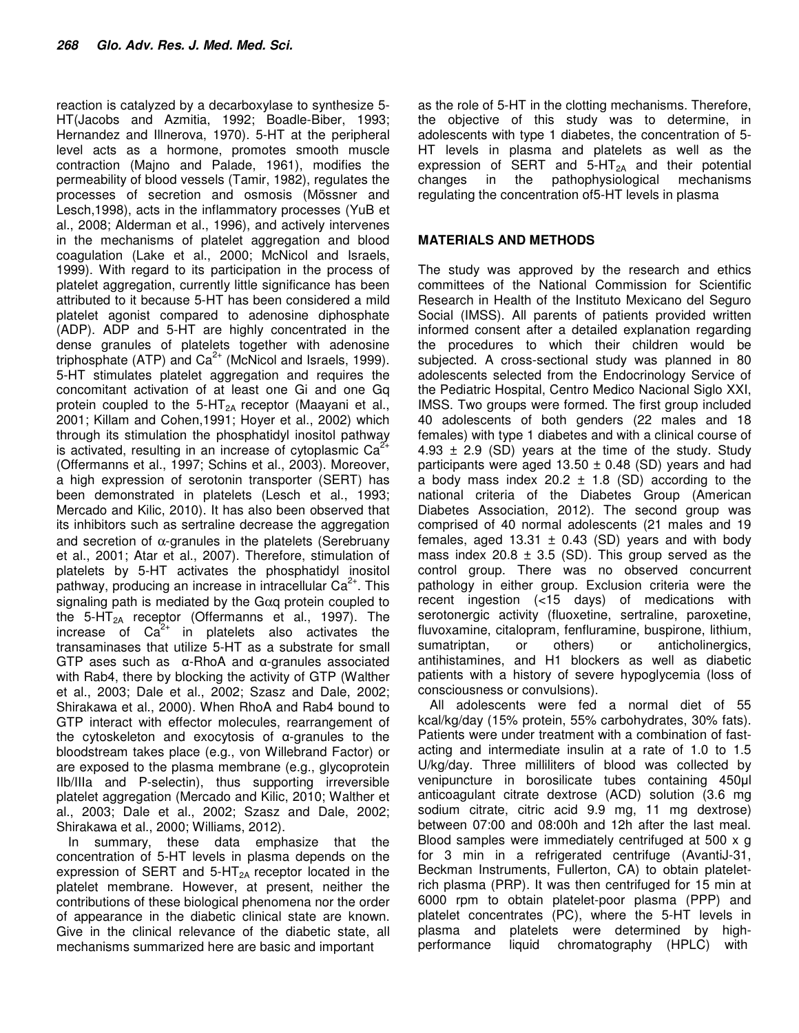reaction is catalyzed by a decarboxylase to synthesize 5- HT(Jacobs and Azmitia, 1992; Boadle-Biber, 1993; Hernandez and Illnerova, 1970). 5-HT at the peripheral level acts as a hormone, promotes smooth muscle contraction (Majno and Palade, 1961), modifies the permeability of blood vessels (Tamir, 1982), regulates the processes of secretion and osmosis (Mössner and Lesch,1998), acts in the inflammatory processes (YuB et al., 2008; Alderman et al., 1996), and actively intervenes in the mechanisms of platelet aggregation and blood coagulation (Lake et al., 2000; McNicol and Israels, 1999). With regard to its participation in the process of platelet aggregation, currently little significance has been attributed to it because 5-HT has been considered a mild platelet agonist compared to adenosine diphosphate (ADP). ADP and 5-HT are highly concentrated in the dense granules of platelets together with adenosine triphosphate (ATP) and  $Ca^{2+}$  (McNicol and Israels, 1999). 5-HT stimulates platelet aggregation and requires the concomitant activation of at least one Gi and one Gq protein coupled to the 5-HT<sub>2A</sub> receptor (Maayani et al., 2001; Killam and Cohen,1991; Hoyer et al., 2002) which through its stimulation the phosphatidyl inositol pathway is activated, resulting in an increase of cytoplasmic  $Ca<sup>2+</sup>$ (Offermanns et al., 1997; Schins et al., 2003). Moreover, a high expression of serotonin transporter (SERT) has been demonstrated in platelets (Lesch et al., 1993; Mercado and Kilic, 2010). It has also been observed that its inhibitors such as sertraline decrease the aggregation and secretion of  $\alpha$ -granules in the platelets (Serebruany et al., 2001; Atar et al., 2007). Therefore, stimulation of platelets by 5-HT activates the phosphatidyl inositol pathway, producing an increase in intracellular  $Ca<sup>2+</sup>$ . This signaling path is mediated by the  $G\alpha q$  protein coupled to the 5-HT<sub>2A</sub> receptor (Offermanns et al., 1997). The increase of  $Ca^{2+}$  in platelets also activates the transaminases that utilize 5-HT as a substrate for small GTP ases such as α-RhoA and α-granules associated with Rab4, there by blocking the activity of GTP (Walther et al., 2003; Dale et al., 2002; Szasz and Dale, 2002; Shirakawa et al., 2000). When RhoA and Rab4 bound to GTP interact with effector molecules, rearrangement of the cytoskeleton and exocytosis of α-granules to the bloodstream takes place (e.g., von Willebrand Factor) or are exposed to the plasma membrane (e.g., glycoprotein IIb/IIIa and P-selectin), thus supporting irreversible platelet aggregation (Mercado and Kilic, 2010; Walther et al., 2003; Dale et al., 2002; Szasz and Dale, 2002; Shirakawa et al., 2000; Williams, 2012).

In summary, these data emphasize that the concentration of 5-HT levels in plasma depends on the expression of SERT and  $5-HT_{2A}$  receptor located in the platelet membrane. However, at present, neither the contributions of these biological phenomena nor the order of appearance in the diabetic clinical state are known. Give in the clinical relevance of the diabetic state, all mechanisms summarized here are basic and important

as the role of 5-HT in the clotting mechanisms. Therefore, the objective of this study was to determine, in adolescents with type 1 diabetes, the concentration of 5- HT levels in plasma and platelets as well as the expression of SERT and  $5-HT<sub>2A</sub>$  and their potential changes in the pathophysiological mechanisms regulating the concentration of5-HT levels in plasma

## **MATERIALS AND METHODS**

The study was approved by the research and ethics committees of the National Commission for Scientific Research in Health of the Instituto Mexicano del Seguro Social (IMSS). All parents of patients provided written informed consent after a detailed explanation regarding the procedures to which their children would be subjected. A cross-sectional study was planned in 80 adolescents selected from the Endocrinology Service of the Pediatric Hospital, Centro Medico Nacional Siglo XXI, IMSS. Two groups were formed. The first group included 40 adolescents of both genders (22 males and 18 females) with type 1 diabetes and with a clinical course of 4.93  $\pm$  2.9 (SD) years at the time of the study. Study participants were aged 13.50  $\pm$  0.48 (SD) years and had a body mass index 20.2  $\pm$  1.8 (SD) according to the national criteria of the Diabetes Group (American Diabetes Association, 2012). The second group was comprised of 40 normal adolescents (21 males and 19 females, aged 13.31  $\pm$  0.43 (SD) years and with body mass index 20.8  $\pm$  3.5 (SD). This group served as the control group. There was no observed concurrent pathology in either group. Exclusion criteria were the recent ingestion (<15 days) of medications with serotonergic activity (fluoxetine, sertraline, paroxetine, fluvoxamine, citalopram, fenfluramine, buspirone, lithium, sumatriptan, or others) or anticholinergics, antihistamines, and H1 blockers as well as diabetic patients with a history of severe hypoglycemia (loss of consciousness or convulsions).

All adolescents were fed a normal diet of 55 kcal/kg/day (15% protein, 55% carbohydrates, 30% fats). Patients were under treatment with a combination of fastacting and intermediate insulin at a rate of 1.0 to 1.5 U/kg/day. Three milliliters of blood was collected by venipuncture in borosilicate tubes containing 450µl anticoagulant citrate dextrose (ACD) solution (3.6 mg sodium citrate, citric acid 9.9 mg, 11 mg dextrose) between 07:00 and 08:00h and 12h after the last meal. Blood samples were immediately centrifuged at 500 x g for 3 min in a refrigerated centrifuge (AvantiJ-31, Beckman Instruments, Fullerton, CA) to obtain plateletrich plasma (PRP). It was then centrifuged for 15 min at 6000 rpm to obtain platelet-poor plasma (PPP) and platelet concentrates (PC), where the 5-HT levels in plasma and platelets were determined by highperformance liquid chromatography (HPLC) with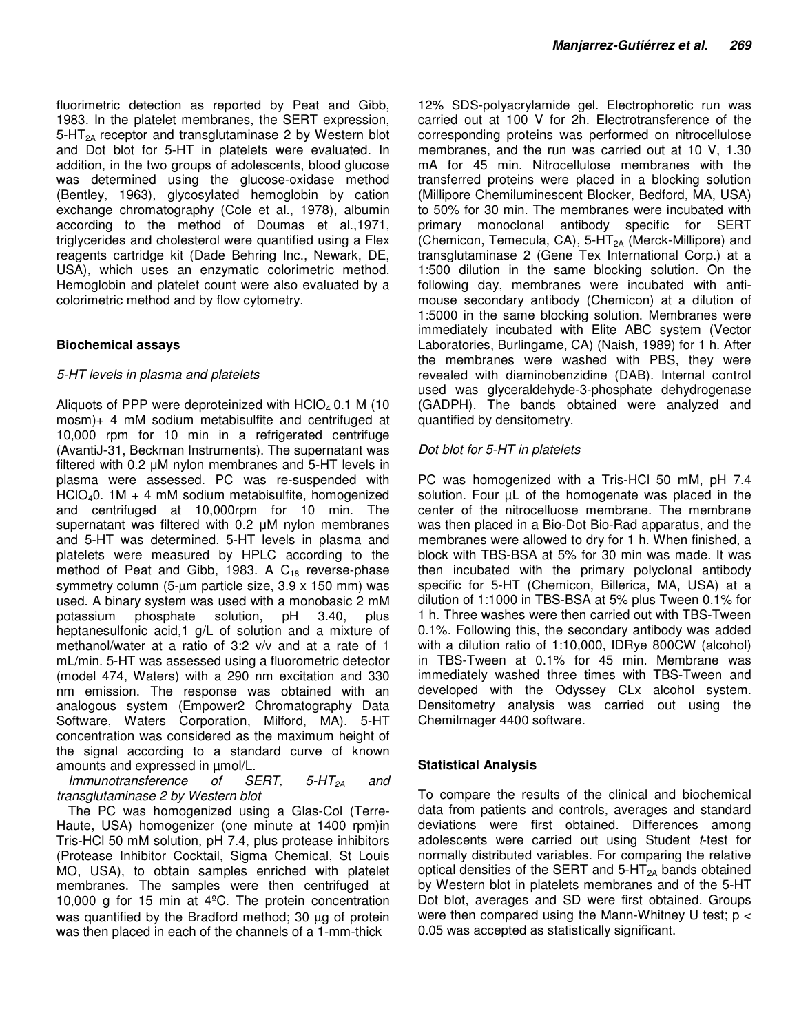fluorimetric detection as reported by Peat and Gibb, 1983. In the platelet membranes, the SERT expression,  $5-HT<sub>2A</sub>$  receptor and transglutaminase 2 by Western blot and Dot blot for 5-HT in platelets were evaluated. In addition, in the two groups of adolescents, blood glucose was determined using the glucose-oxidase method (Bentley, 1963), glycosylated hemoglobin by cation exchange chromatography (Cole et al., 1978), albumin according to the method of Doumas et al.,1971, triglycerides and cholesterol were quantified using a Flex reagents cartridge kit (Dade Behring Inc., Newark, DE, USA), which uses an enzymatic colorimetric method. Hemoglobin and platelet count were also evaluated by a colorimetric method and by flow cytometry.

## **Biochemical assays**

#### 5-HT levels in plasma and platelets

Aliquots of PPP were deproteinized with  $HClO<sub>4</sub> 0.1 M$  (10 mosm)+ 4 mM sodium metabisulfite and centrifuged at 10,000 rpm for 10 min in a refrigerated centrifuge (AvantiJ-31, Beckman Instruments). The supernatant was filtered with 0.2 µM nylon membranes and 5-HT levels in plasma were assessed. PC was re-suspended with  $HClO<sub>4</sub>0. 1M + 4 mM sodium metalbisulfite, homogenized$ and centrifuged at 10,000rpm for 10 min. The supernatant was filtered with 0.2 µM nylon membranes and 5-HT was determined. 5-HT levels in plasma and platelets were measured by HPLC according to the method of Peat and Gibb, 1983. A  $C_{18}$  reverse-phase symmetry column (5-um particle size, 3.9 x 150 mm) was used. A binary system was used with a monobasic 2 mM potassium phosphate solution, pH 3.40, plus heptanesulfonic acid,1 g/L of solution and a mixture of methanol/water at a ratio of 3:2 v/v and at a rate of 1 mL/min. 5-HT was assessed using a fluorometric detector (model 474, Waters) with a 290 nm excitation and 330 nm emission. The response was obtained with an analogous system (Empower2 Chromatography Data Software, Waters Corporation, Milford, MA). 5-HT concentration was considered as the maximum height of the signal according to a standard curve of known amounts and expressed in µmol/L.

Immunotransference of SERT,  $5-HT_{2A}$  and transglutaminase 2 by Western blot

The PC was homogenized using a Glas-Col (Terre-Haute, USA) homogenizer (one minute at 1400 rpm)in Tris-HCl 50 mM solution, pH 7.4, plus protease inhibitors (Protease Inhibitor Cocktail, Sigma Chemical, St Louis MO, USA), to obtain samples enriched with platelet membranes. The samples were then centrifuged at 10,000 g for 15 min at 4ºC. The protein concentration was quantified by the Bradford method; 30 µg of protein was then placed in each of the channels of a 1-mm-thick

12% SDS-polyacrylamide gel. Electrophoretic run was carried out at 100 V for 2h. Electrotransference of the corresponding proteins was performed on nitrocellulose membranes, and the run was carried out at 10 V, 1.30 mA for 45 min. Nitrocellulose membranes with the transferred proteins were placed in a blocking solution (Millipore Chemiluminescent Blocker, Bedford, MA, USA) to 50% for 30 min. The membranes were incubated with primary monoclonal antibody specific for SERT (Chemicon, Temecula, CA),  $5-HT_{2A}$  (Merck-Millipore) and transglutaminase 2 (Gene Tex International Corp.) at a 1:500 dilution in the same blocking solution. On the following day, membranes were incubated with antimouse secondary antibody (Chemicon) at a dilution of 1:5000 in the same blocking solution. Membranes were immediately incubated with Elite ABC system (Vector Laboratories, Burlingame, CA) (Naish, 1989) for 1 h. After the membranes were washed with PBS, they were revealed with diaminobenzidine (DAB). Internal control used was glyceraldehyde-3-phosphate dehydrogenase (GADPH). The bands obtained were analyzed and quantified by densitometry.

## Dot blot for 5-HT in platelets

PC was homogenized with a Tris-HCl 50 mM, pH 7.4 solution. Four  $\mu$ L of the homogenate was placed in the center of the nitrocelluose membrane. The membrane was then placed in a Bio-Dot Bio-Rad apparatus, and the membranes were allowed to dry for 1 h. When finished, a block with TBS-BSA at 5% for 30 min was made. It was then incubated with the primary polyclonal antibody specific for 5-HT (Chemicon, Billerica, MA, USA) at a dilution of 1:1000 in TBS-BSA at 5% plus Tween 0.1% for 1 h. Three washes were then carried out with TBS-Tween 0.1%. Following this, the secondary antibody was added with a dilution ratio of 1:10,000, IDRye 800CW (alcohol) in TBS-Tween at 0.1% for 45 min. Membrane was immediately washed three times with TBS-Tween and developed with the Odyssey CLx alcohol system. Densitometry analysis was carried out using the ChemiImager 4400 software.

# **Statistical Analysis**

To compare the results of the clinical and biochemical data from patients and controls, averages and standard deviations were first obtained. Differences among adolescents were carried out using Student t-test for normally distributed variables. For comparing the relative optical densities of the SERT and  $5-HT_{2A}$  bands obtained by Western blot in platelets membranes and of the 5-HT Dot blot, averages and SD were first obtained. Groups were then compared using the Mann-Whitney U test;  $p <$ 0.05 was accepted as statistically significant.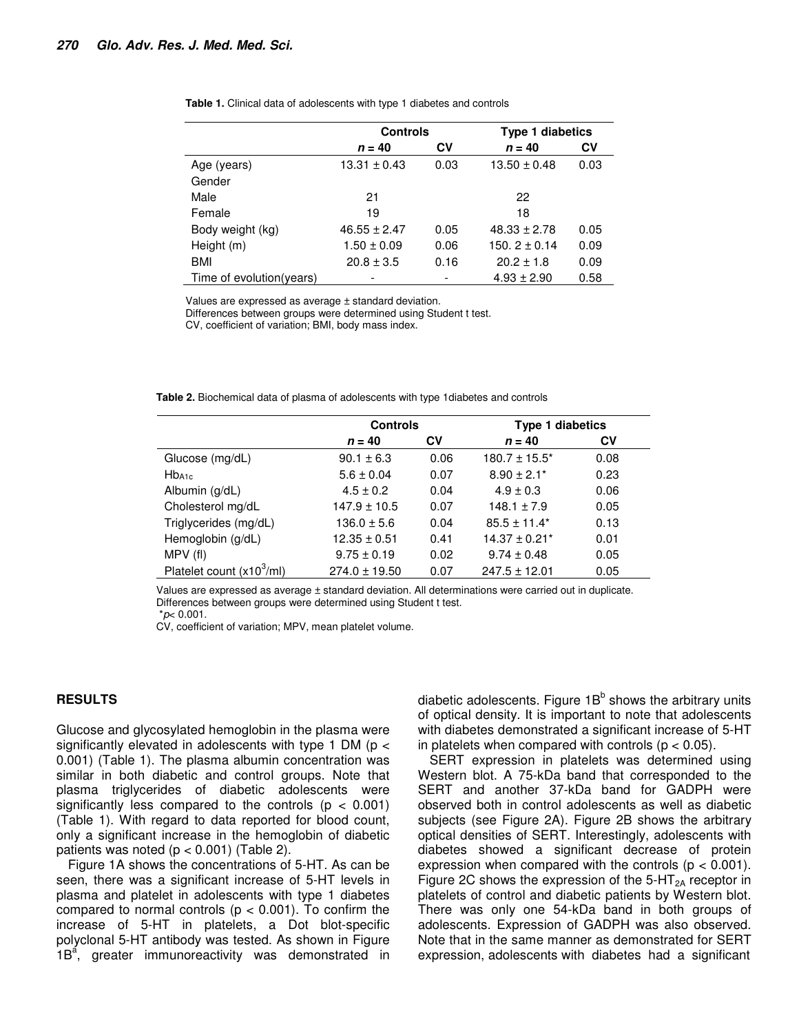|                           | <b>Controls</b>  |      | <b>Type 1 diabetics</b> |      |
|---------------------------|------------------|------|-------------------------|------|
|                           | $n = 40$         | СV   | $n = 40$                | Cν   |
| Age (years)               | $13.31 \pm 0.43$ | 0.03 | $13.50 \pm 0.48$        | 0.03 |
| Gender                    |                  |      |                         |      |
| Male                      | 21               |      | 22                      |      |
| Female                    | 19               |      | 18                      |      |
| Body weight (kg)          | $46.55 \pm 2.47$ | 0.05 | $48.33 \pm 2.78$        | 0.05 |
| Height (m)                | $1.50 \pm 0.09$  | 0.06 | 150. $2 \pm 0.14$       | 0.09 |
| BMI                       | $20.8 \pm 3.5$   | 0.16 | $20.2 \pm 1.8$          | 0.09 |
| Time of evolution (years) |                  |      | $4.93 \pm 2.90$         | 0.58 |

**Table 1.** Clinical data of adolescents with type 1 diabetes and controls

Values are expressed as average ± standard deviation.

Differences between groups were determined using Student t test.

CV, coefficient of variation; BMI, body mass index.

**Table 2.** Biochemical data of plasma of adolescents with type 1diabetes and controls

|                             | <b>Controls</b>   |      | <b>Type 1 diabetics</b>       |      |
|-----------------------------|-------------------|------|-------------------------------|------|
|                             | $n = 40$          | Cν   | $n = 40$                      | CV   |
| Glucose (mg/dL)             | $90.1 \pm 6.3$    | 0.06 | $180.7 \pm 15.5^*$            | 0.08 |
| $Hb_{A1c}$                  | $5.6 \pm 0.04$    | 0.07 | $8.90 \pm 2.1^*$              | 0.23 |
| Albumin (g/dL)              | $4.5 \pm 0.2$     | 0.04 | $4.9 \pm 0.3$                 | 0.06 |
| Cholesterol mg/dL           | $147.9 \pm 10.5$  | 0.07 | $148.1 \pm 7.9$               | 0.05 |
| Triglycerides (mg/dL)       | $136.0 \pm 5.6$   | 0.04 | $85.5 \pm 11.4^*$             | 0.13 |
| Hemoglobin (g/dL)           | $12.35 \pm 0.51$  | 0.41 | $14.37 \pm 0.21$ <sup>*</sup> | 0.01 |
| $MPV$ (fl)                  | $9.75 \pm 0.19$   | 0.02 | $9.74 \pm 0.48$               | 0.05 |
| Platelet count $(x10^3/ml)$ | $274.0 \pm 19.50$ | 0.07 | $247.5 \pm 12.01$             | 0.05 |

Values are expressed as average ± standard deviation. All determinations were carried out in duplicate. Differences between groups were determined using Student t test.

 $*_{D<sub>0.001</sub>}$ 

CV, coefficient of variation; MPV, mean platelet volume.

#### **RESULTS**

Glucose and glycosylated hemoglobin in the plasma were significantly elevated in adolescents with type 1 DM (p < 0.001) (Table 1). The plasma albumin concentration was similar in both diabetic and control groups. Note that plasma triglycerides of diabetic adolescents were significantly less compared to the controls ( $p < 0.001$ ) (Table 1). With regard to data reported for blood count, only a significant increase in the hemoglobin of diabetic patients was noted  $(p < 0.001)$  (Table 2).

Figure 1A shows the concentrations of 5-HT. As can be seen, there was a significant increase of 5-HT levels in plasma and platelet in adolescents with type 1 diabetes compared to normal controls ( $p < 0.001$ ). To confirm the increase of 5-HT in platelets, a Dot blot-specific polyclonal 5-HT antibody was tested. As shown in Figure 1B<sup>a</sup>, greater immunoreactivity was demonstrated in

diabetic adolescents. Figure 1B $^{\rm b}$  shows the arbitrary units of optical density. It is important to note that adolescents with diabetes demonstrated a significant increase of 5-HT in platelets when compared with controls ( $p < 0.05$ ).

SERT expression in platelets was determined using Western blot. A 75-kDa band that corresponded to the SERT and another 37-kDa band for GADPH were observed both in control adolescents as well as diabetic subjects (see Figure 2A). Figure 2B shows the arbitrary optical densities of SERT. Interestingly, adolescents with diabetes showed a significant decrease of protein expression when compared with the controls ( $p < 0.001$ ). Figure 2C shows the expression of the  $5-HT_{2A}$  receptor in platelets of control and diabetic patients by Western blot. There was only one 54-kDa band in both groups of adolescents. Expression of GADPH was also observed. Note that in the same manner as demonstrated for SERT expression, adolescents with diabetes had a significant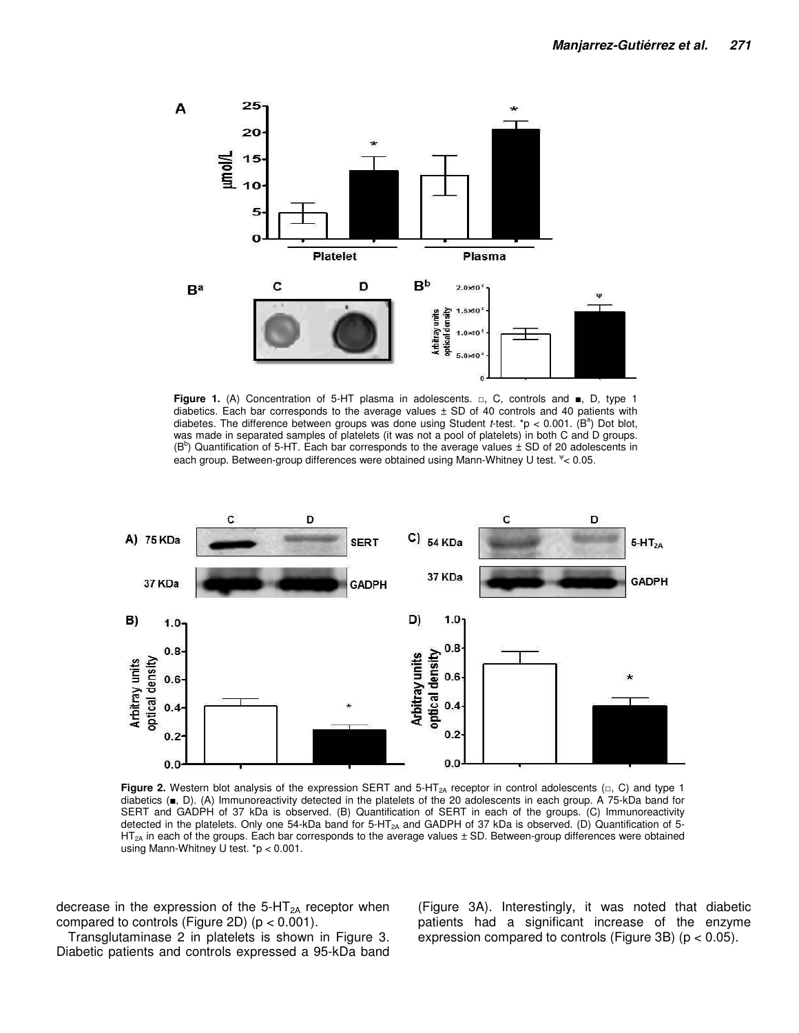

**Figure 1.** (A) Concentration of 5-HT plasma in adolescents. □, C, controls and ■, D, type 1 diabetics. Each bar corresponds to the average values  $\pm$  SD of 40 controls and 40 patients with diabetes. The difference between groups was done using Student t-test. \*p < 0.001.  $(B^a)$  Dot blot, was made in separated samples of platelets (it was not a pool of platelets) in both C and D groups.  $(B^b)$  Quantification of 5-HT. Each bar corresponds to the average values  $\pm$  SD of 20 adolescents in each group. Between-group differences were obtained using Mann-Whitney U test. <sup>ψ</sup>< 0.05.



**Figure 2.** Western blot analysis of the expression SERT and 5-HT<sub>2A</sub> receptor in control adolescents (□, C) and type 1 diabetics (■, D). (A) Immunoreactivity detected in the platelets of the 20 adolescents in each group. A 75-kDa band for SERT and GADPH of 37 kDa is observed. (B) Quantification of SERT in each of the groups. (C) Immunoreactivity detected in the platelets. Only one 54-kDa band for 5-HT<sub>2A</sub> and GADPH of 37 kDa is observed. (D) Quantification of 5- $HT<sub>2A</sub>$  in each of the groups. Each bar corresponds to the average values  $\pm$  SD. Between-group differences were obtained using Mann-Whitney U test. \*p < 0.001.

decrease in the expression of the  $5$ -HT<sub>2A</sub> receptor when compared to controls (Figure 2D)  $(p < 0.001)$ .

Transglutaminase 2 in platelets is shown in Figure 3. Diabetic patients and controls expressed a 95-kDa band

(Figure 3A). Interestingly, it was noted that diabetic patients had a significant increase of the enzyme expression compared to controls (Figure 3B) (p < 0.05).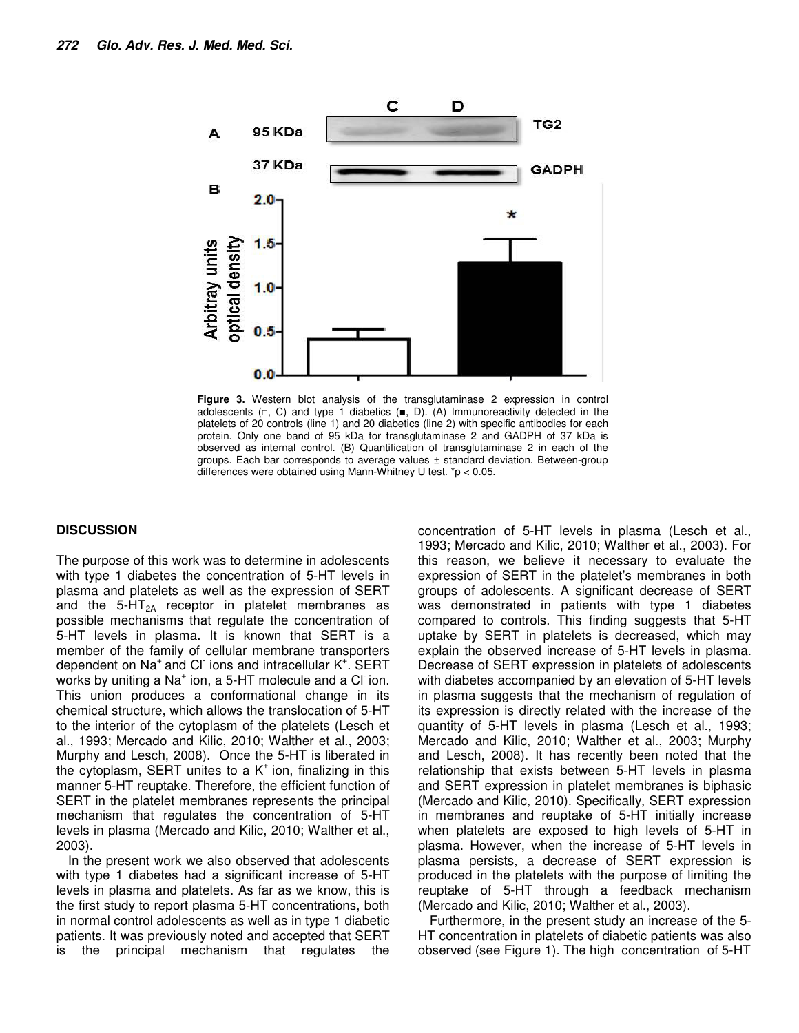

**Figure 3.** Western blot analysis of the transglutaminase 2 expression in control adolescents (□, C) and type 1 diabetics (■, D). (A) Immunoreactivity detected in the platelets of 20 controls (line 1) and 20 diabetics (line 2) with specific antibodies for each protein. Only one band of 95 kDa for transglutaminase 2 and GADPH of 37 kDa is observed as internal control. (B) Quantification of transglutaminase 2 in each of the groups. Each bar corresponds to average values ± standard deviation. Between-group differences were obtained using Mann-Whitney U test. \*p < 0.05.

#### **DISCUSSION**

The purpose of this work was to determine in adolescents with type 1 diabetes the concentration of 5-HT levels in plasma and platelets as well as the expression of SERT and the 5-HT $_{2A}$  receptor in platelet membranes as possible mechanisms that regulate the concentration of 5-HT levels in plasma. It is known that SERT is a member of the family of cellular membrane transporters dependent on Na<sup>+</sup> and Cl ions and intracellular K<sup>+</sup>. SERT works by uniting a Na<sup>+</sup> ion, a 5-HT molecule and a Cl ion. This union produces a conformational change in its chemical structure, which allows the translocation of 5-HT to the interior of the cytoplasm of the platelets (Lesch et al., 1993; Mercado and Kilic, 2010; Walther et al., 2003; Murphy and Lesch, 2008). Once the 5-HT is liberated in the cytoplasm, SERT unites to a  $K^+$  ion, finalizing in this manner 5-HT reuptake. Therefore, the efficient function of SERT in the platelet membranes represents the principal mechanism that regulates the concentration of 5-HT levels in plasma (Mercado and Kilic, 2010; Walther et al., 2003).

In the present work we also observed that adolescents with type 1 diabetes had a significant increase of 5-HT levels in plasma and platelets. As far as we know, this is the first study to report plasma 5-HT concentrations, both in normal control adolescents as well as in type 1 diabetic patients. It was previously noted and accepted that SERT is the principal mechanism that regulates the

concentration of 5-HT levels in plasma (Lesch et al., 1993; Mercado and Kilic, 2010; Walther et al., 2003). For this reason, we believe it necessary to evaluate the expression of SERT in the platelet's membranes in both groups of adolescents. A significant decrease of SERT was demonstrated in patients with type 1 diabetes compared to controls. This finding suggests that 5-HT uptake by SERT in platelets is decreased, which may explain the observed increase of 5-HT levels in plasma. Decrease of SERT expression in platelets of adolescents with diabetes accompanied by an elevation of 5-HT levels in plasma suggests that the mechanism of regulation of its expression is directly related with the increase of the quantity of 5-HT levels in plasma (Lesch et al., 1993; Mercado and Kilic, 2010; Walther et al., 2003; Murphy and Lesch, 2008). It has recently been noted that the relationship that exists between 5-HT levels in plasma and SERT expression in platelet membranes is biphasic (Mercado and Kilic, 2010). Specifically, SERT expression in membranes and reuptake of 5-HT initially increase when platelets are exposed to high levels of 5-HT in plasma. However, when the increase of 5-HT levels in plasma persists, a decrease of SERT expression is produced in the platelets with the purpose of limiting the reuptake of 5-HT through a feedback mechanism (Mercado and Kilic, 2010; Walther et al., 2003).

Furthermore, in the present study an increase of the 5- HT concentration in platelets of diabetic patients was also observed (see Figure 1). The high concentration of 5-HT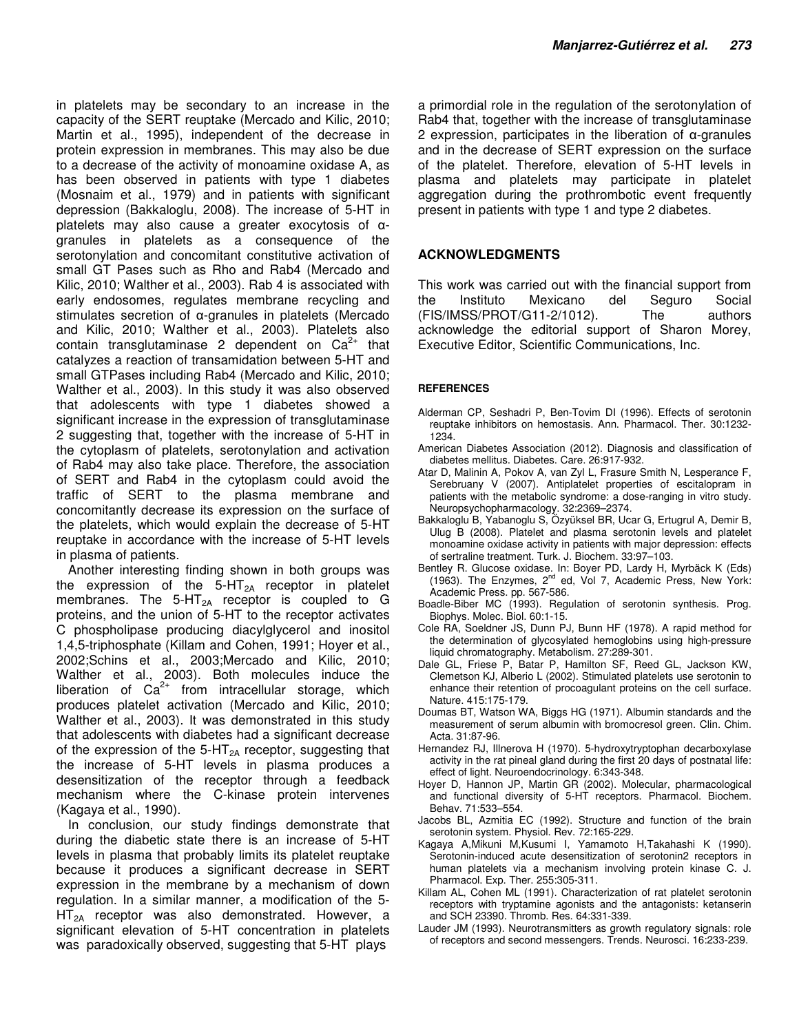in platelets may be secondary to an increase in the capacity of the SERT reuptake (Mercado and Kilic, 2010; Martin et al., 1995), independent of the decrease in protein expression in membranes. This may also be due to a decrease of the activity of monoamine oxidase A, as has been observed in patients with type 1 diabetes (Mosnaim et al., 1979) and in patients with significant depression (Bakkaloglu, 2008). The increase of 5-HT in platelets may also cause a greater exocytosis of αgranules in platelets as a consequence of the serotonylation and concomitant constitutive activation of small GT Pases such as Rho and Rab4 (Mercado and Kilic, 2010; Walther et al., 2003). Rab 4 is associated with early endosomes, regulates membrane recycling and stimulates secretion of α-granules in platelets (Mercado and Kilic, 2010; Walther et al., 2003). Platelets also contain transglutaminase 2 dependent on  $Ca^{2+}$  that catalyzes a reaction of transamidation between 5-HT and small GTPases including Rab4 (Mercado and Kilic, 2010; Walther et al., 2003). In this study it was also observed that adolescents with type 1 diabetes showed a significant increase in the expression of transglutaminase 2 suggesting that, together with the increase of 5-HT in the cytoplasm of platelets, serotonylation and activation of Rab4 may also take place. Therefore, the association of SERT and Rab4 in the cytoplasm could avoid the traffic of SERT to the plasma membrane and concomitantly decrease its expression on the surface of the platelets, which would explain the decrease of 5-HT reuptake in accordance with the increase of 5-HT levels in plasma of patients.

Another interesting finding shown in both groups was the expression of the  $5-HT_{2A}$  receptor in platelet membranes. The  $5-HT_{2A}$  receptor is coupled to G proteins, and the union of 5-HT to the receptor activates C phospholipase producing diacylglycerol and inositol 1,4,5-triphosphate (Killam and Cohen, 1991; Hoyer et al., 2002;Schins et al., 2003;Mercado and Kilic, 2010; Walther et al., 2003). Both molecules induce the liberation of  $Ca^{2+}$  from intracellular storage, which produces platelet activation (Mercado and Kilic, 2010; Walther et al., 2003). It was demonstrated in this study that adolescents with diabetes had a significant decrease of the expression of the  $5-HT_{2A}$  receptor, suggesting that the increase of 5-HT levels in plasma produces a desensitization of the receptor through a feedback mechanism where the C-kinase protein intervenes (Kagaya et al., 1990).

In conclusion, our study findings demonstrate that during the diabetic state there is an increase of 5-HT levels in plasma that probably limits its platelet reuptake because it produces a significant decrease in SERT expression in the membrane by a mechanism of down regulation. In a similar manner, a modification of the 5-  $HT_{2A}$  receptor was also demonstrated. However, a significant elevation of 5-HT concentration in platelets was paradoxically observed, suggesting that 5-HT plays

a primordial role in the regulation of the serotonylation of Rab4 that, together with the increase of transglutaminase 2 expression, participates in the liberation of α-granules and in the decrease of SERT expression on the surface of the platelet. Therefore, elevation of 5-HT levels in plasma and platelets may participate in platelet aggregation during the prothrombotic event frequently present in patients with type 1 and type 2 diabetes.

#### **ACKNOWLEDGMENTS**

This work was carried out with the financial support from the Instituto Mexicano del Seguro Social (FIS/IMSS/PROT/G11-2/1012). The authors acknowledge the editorial support of Sharon Morey, Executive Editor, Scientific Communications, Inc.

#### **REFERENCES**

- Alderman CP, Seshadri P, Ben-Tovim DI (1996). Effects of serotonin reuptake inhibitors on hemostasis. Ann. Pharmacol. Ther. 30:1232- 1234.
- American Diabetes Association (2012). Diagnosis and classification of diabetes mellitus. Diabetes. Care. 26:917-932.
- Atar D, Malinin A, Pokov A, van Zyl L, Frasure Smith N, Lesperance F, Serebruany V (2007). Antiplatelet properties of escitalopram in patients with the metabolic syndrome: a dose-ranging in vitro study. Neuropsychopharmacology. 32:2369–2374.
- Bakkaloglu B, Yabanoglu S, Özyüksel BR, Ucar G, Ertugrul A, Demir B, Ulug B (2008). Platelet and plasma serotonin levels and platelet monoamine oxidase activity in patients with major depression: effects of sertraline treatment. Turk. J. Biochem. 33:97–103.
- Bentley R. Glucose oxidase. In: Boyer PD, Lardy H, Myrbäck K (Eds) (1963). The Enzymes, 2<sup>nd</sup> ed, Vol 7, Academic Press, New York: Academic Press. pp. 567-586.
- Boadle-Biber MC (1993). Regulation of serotonin synthesis. Prog. Biophys. Molec. Biol. 60:1-15.
- Cole RA, Soeldner JS, Dunn PJ, Bunn HF (1978). A rapid method for the determination of glycosylated hemoglobins using high-pressure liquid chromatography. Metabolism. 27:289-301.
- Dale GL, Friese P, Batar P, Hamilton SF, Reed GL, Jackson KW, Clemetson KJ, Alberio L (2002). Stimulated platelets use serotonin to enhance their retention of procoagulant proteins on the cell surface. Nature. 415:175-179.
- Doumas BT, Watson WA, Biggs HG (1971). Albumin standards and the measurement of serum albumin with bromocresol green. Clin. Chim. Acta. 31:87-96.
- Hernandez RJ, Illnerova H (1970). 5-hydroxytryptophan decarboxylase activity in the rat pineal gland during the first 20 days of postnatal life: effect of light. Neuroendocrinology. 6:343-348.
- Hoyer D, Hannon JP, Martin GR (2002). Molecular, pharmacological and functional diversity of 5-HT receptors. Pharmacol. Biochem. Behav. 71:533–554.
- Jacobs BL, Azmitia EC (1992). Structure and function of the brain serotonin system. Physiol. Rev. 72:165-229.
- Kagaya A,Mikuni M,Kusumi I, Yamamoto H,Takahashi K (1990). Serotonin-induced acute desensitization of serotonin2 receptors in human platelets via a mechanism involving protein kinase C. J. Pharmacol. Exp. Ther. 255:305-311.
- Killam AL, Cohen ML (1991). Characterization of rat platelet serotonin receptors with tryptamine agonists and the antagonists: ketanserin and SCH 23390. Thromb. Res. 64:331-339.
- Lauder JM (1993). Neurotransmitters as growth regulatory signals: role of receptors and second messengers. Trends. Neurosci. 16:233-239.